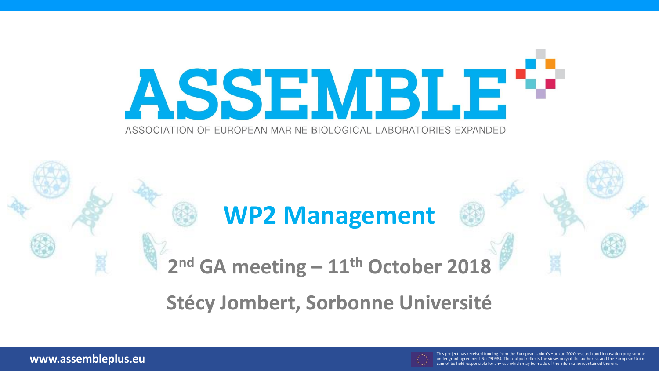

#### **WP2 Management**

#### **2 nd GA meeting – 11th October 2018**

**Stécy Jombert, Sorbonne Université**



**www.assembleplus.eu** This project has received funding from the European Union's Horizon 2020 research and innovation programme<br>This project has received funding from the European Union's Horizon 2020 research and innovat under grant agreement No 730984. This output reflects the views only of the author(s), and the European Union cannot be held responsible for any use which may be made of the information contained therein.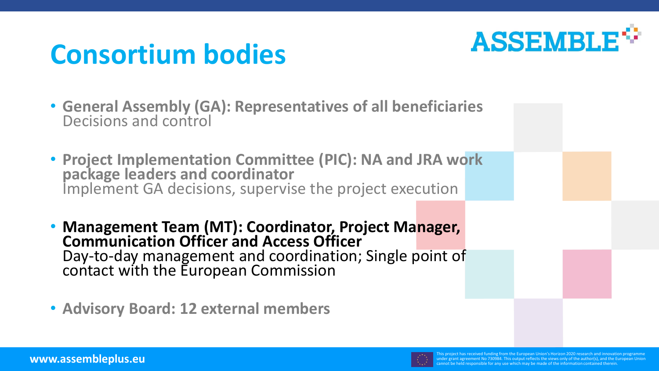

### **Consortium bodies**

- **General Assembly (GA): Representatives of all beneficiaries** Decisions and control
- **Project Implementation Committee (PIC): NA and JRA work package leaders and coordinator** Implement GA decisions, supervise the project execution
- **Management Team (MT): Coordinator, Project Manager, Communication Officer and Access Officer** Day-to-day management and coordination; Single point of contact with the European Commission
- **Advisory Board: 12 external members**

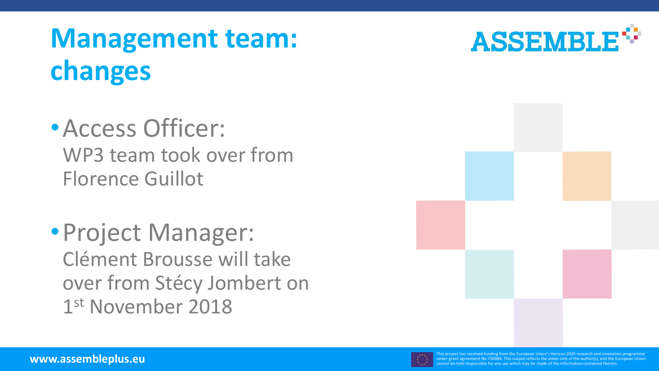# **Management team: changes**

- •Access Officer: WP3 team took over from Florence Guillot
- •Project Manager: Clément Brousse will take over from Stécy Jombert on 1 st November 2018









www.assembleplus.eu to the and the European Union's Horizon 2020 research and innovation programme<br>This project has received funding from the European Union's Horizon 2020 research and innovation programme<br>Capital of the a nder grant agreement No 730984. This output reflects the views only of the author(s), and the European Union nnot be held responsible for any use which may be made of the information contained therein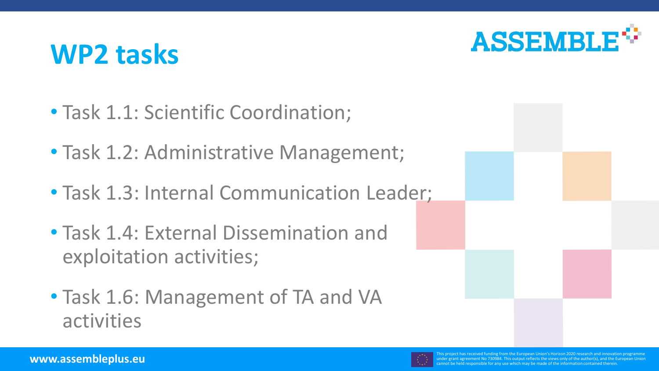

### **WP2 tasks**

- Task 1.1: Scientific Coordination;
- Task 1.2: Administrative Management;
- Task 1.3: Internal Communication Leader;
- Task 1.4: External Dissemination and exploitation activities;
- Task 1.6: Management of TA and VA activities



www.assembleplus.eu This project has received funding from the European Union's Horizon 2020 research and innovation<br>This project has received funding from the European Union's Horizon 2020 research and innovation programm nt agreement No 730984. This output reflects the views only of the author(s), and the European Union not be held responsible for any use which may be made of the information contained therein.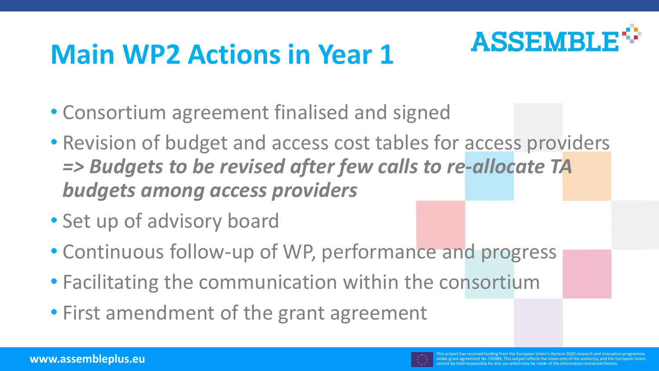# **Main WP2 Actions in Year 1**



- Consortium agreement finalised and signed
- Revision of budget and access cost tables for access providers *=> Budgets to be revised after few calls to re-allocate TA budgets among access providers*
- Set up of advisory board
- Continuous follow-up of WP, performance and progress
- Facilitating the communication within the consortium
- First amendment of the grant agreement

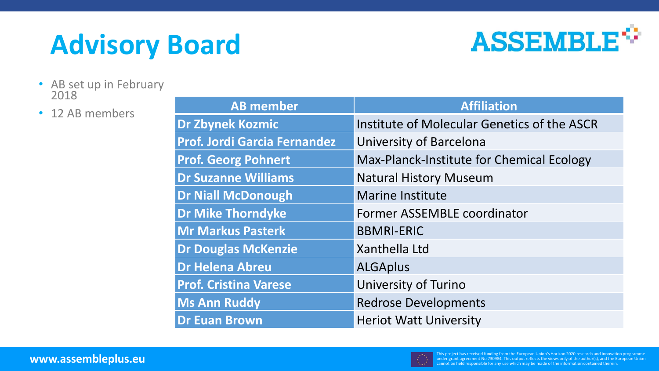# **Advisory Board**



- AB set up in February 2018
- 

| ZUIO.<br>• 12 AB members | <b>AB</b> member                    | <b>Affiliation</b>                          |  |
|--------------------------|-------------------------------------|---------------------------------------------|--|
|                          | Dr Zbynek Kozmic                    | Institute of Molecular Genetics of the ASCR |  |
|                          | <b>Prof. Jordi Garcia Fernandez</b> | University of Barcelona                     |  |
|                          | <b>Prof. Georg Pohnert</b>          | Max-Planck-Institute for Chemical Ecology   |  |
|                          | <b>Dr Suzanne Williams</b>          | <b>Natural History Museum</b>               |  |
|                          | <b>Dr Niall McDonough</b>           | <b>Marine Institute</b>                     |  |
|                          | <b>Dr Mike Thorndyke</b>            | <b>Former ASSEMBLE coordinator</b>          |  |
|                          | <b>Mr Markus Pasterk</b>            | <b>BBMRI-ERIC</b>                           |  |
|                          | <b>Dr Douglas McKenzie</b>          | Xanthella Ltd                               |  |
|                          | <b>Dr Helena Abreu</b>              | <b>ALGAplus</b>                             |  |
|                          | <b>Prof. Cristina Varese</b>        | University of Turino                        |  |
|                          | <b>Ms Ann Ruddy</b>                 | <b>Redrose Developments</b>                 |  |
|                          | <b>Dr Euan Brown</b>                | <b>Heriot Watt University</b>               |  |

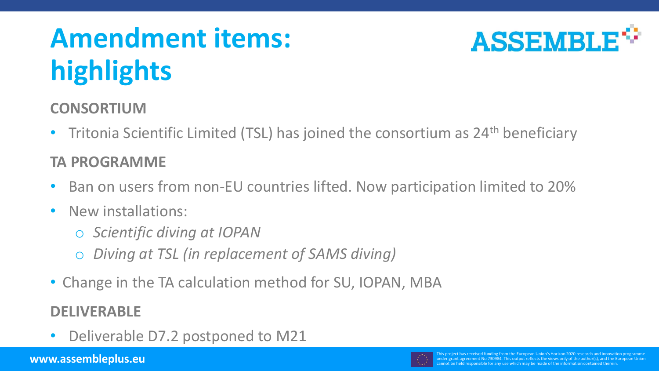# **Amendment items: highlights**



#### **CONSORTIUM**

• Tritonia Scientific Limited (TSL) has joined the consortium as 24<sup>th</sup> beneficiary

#### **TA PROGRAMME**

- Ban on users from non-EU countries lifted. Now participation limited to 20%
- New installations:
	- o *Scientific diving at IOPAN*
	- *Diving at TSL (in replacement of SAMS diving)*
- Change in the TA calculation method for SU, IOPAN, MBA

#### **DELIVERABLE**

• Deliverable D7.2 postponed to M21

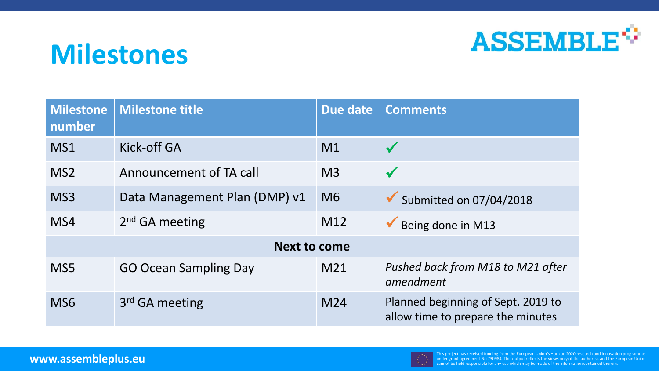

### **Milestones**

| <b>Milestone</b><br>number | <b>Milestone title</b>        | Due date        | <b>Comments</b>                                                         |
|----------------------------|-------------------------------|-----------------|-------------------------------------------------------------------------|
| MS1                        | Kick-off GA                   | M1              |                                                                         |
| MS <sub>2</sub>            | Announcement of TA call       | M <sup>3</sup>  |                                                                         |
| MS3                        | Data Management Plan (DMP) v1 | M6              | Submitted on 07/04/2018                                                 |
| MS4                        | $2nd$ GA meeting              | M12             | Being done in M13                                                       |
|                            | <b>Next to come</b>           |                 |                                                                         |
| MS5                        | <b>GO Ocean Sampling Day</b>  | M <sub>21</sub> | Pushed back from M18 to M21 after<br>amendment                          |
| MS <sub>6</sub>            | 3 <sup>rd</sup> GA meeting    | M24             | Planned beginning of Sept. 2019 to<br>allow time to prepare the minutes |

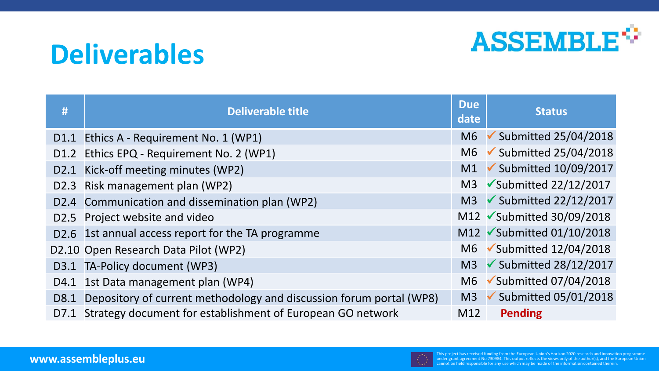

### **Deliverables**

| #                | <b>Deliverable title</b>                                            | <b>Due</b><br>date | <b>Status</b>                                  |
|------------------|---------------------------------------------------------------------|--------------------|------------------------------------------------|
| D1.1             | Ethics A - Requirement No. 1 (WP1)                                  |                    | M6 $\checkmark$ Submitted 25/04/2018           |
|                  | D1.2 Ethics EPQ - Requirement No. 2 (WP1)                           |                    | M6 $\checkmark$ Submitted 25/04/2018           |
| D <sub>2.1</sub> | Kick-off meeting minutes (WP2)                                      | M1                 | $\checkmark$ Submitted 10/09/2017              |
|                  | D2.3 Risk management plan (WP2)                                     | M <sup>3</sup>     | $\checkmark$ Submitted 22/12/2017              |
|                  | D2.4 Communication and dissemination plan (WP2)                     |                    | M3 $\checkmark$ Submitted 22/12/2017           |
|                  | D2.5 Project website and video                                      |                    | M12 Submitted 30/09/2018                       |
| D <sub>2.6</sub> | 1st annual access report for the TA programme                       |                    | M12 $\checkmark$ Submitted 01/10/2018          |
|                  | D2.10 Open Research Data Pilot (WP2)                                |                    | M6 V Submitted 12/04/2018                      |
|                  | D3.1 TA-Policy document (WP3)                                       |                    | M3 $\checkmark$ Submitted 28/12/2017           |
| D4.1             | 1st Data management plan (WP4)                                      |                    | M6 $\sqrt{\frac{3}{100}}$ Submitted 07/04/2018 |
| D8.1             | Depository of current methodology and discussion forum portal (WP8) | M <sub>3</sub>     | $\checkmark$ Submitted 05/01/2018              |
| D7.1             | Strategy document for establishment of European GO network          | M12                | <b>Pending</b>                                 |

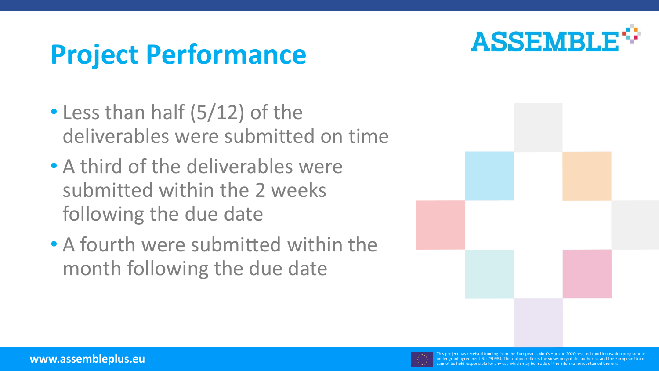

### **Project Performance**

- Less than half (5/12) of the deliverables were submitted on time
- A third of the deliverables were submitted within the 2 weeks following the due date
- A fourth were submitted within the month following the due date





www.assembleplus.eu this project has received funding from the European Union's Horizon 2020 research and innovation programme<br>This project has received funding from the European Union's Horizon 2020 research and innovatio rant agreement No 730984. This output reflects the views only of the author(s), and the European Union not be held responsible for any use which may be made of the information contained therein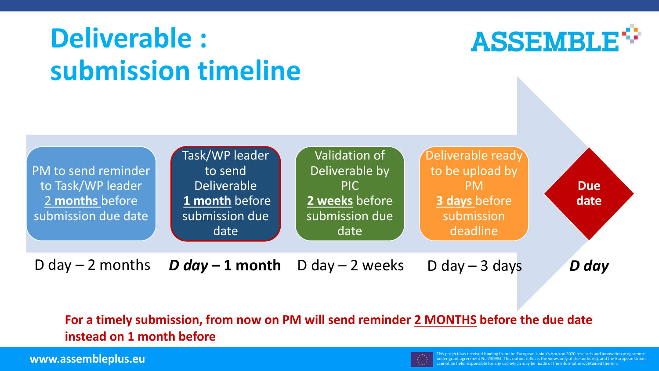

#### **For a timely submission, from now on PM will send reminder 2 MONTHS before the due date instead on 1 month before**



www.assembleplus.eu This project has received funding from the European Union's Horizon 2020 research and innovation programme in the European Union's Horizon 2020 research and innovation and innovation programme in the Eu ient No 730984. This output reflects the views only of the author(s), and the European Unior inot be held responsible for any use which may be made of the information contained therein.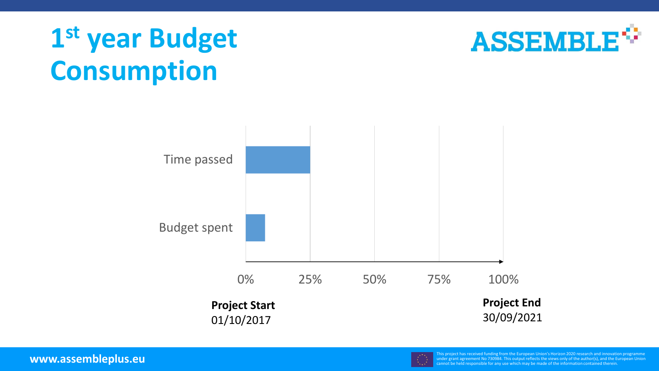# **1 st year Budget Consumption**







 $\mathbf{W}\mathbf{W}$ .and  $\mathbf{S}$  be the information contained the information contained the einform the  $\mathbf{S}$ cannot be held responsible for any use which may be made of the information contained therein.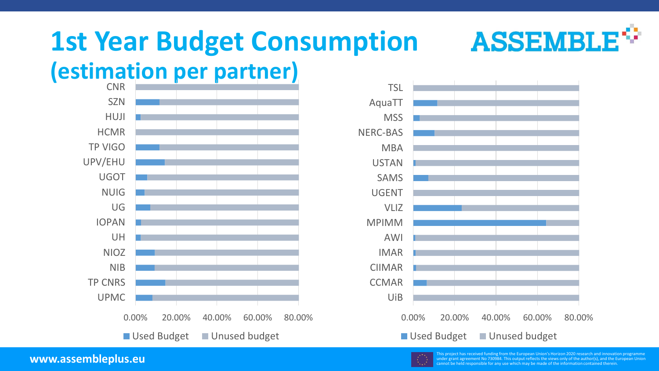# **1st Year Budget Consumption**



### **(estimation per partner)**





 $\mathbf{W}\mathbf{W}$ .and  $\mathbf{S}$  be the information contained the information contained the einform the  $\mathbf{S}$ cannot be held responsible for any use which may be made of the information contained therein.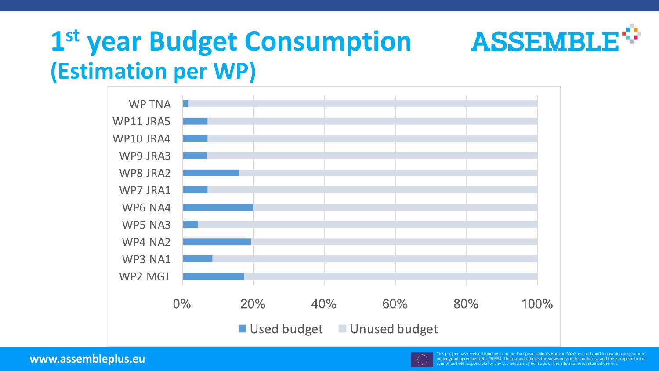### **1 st year Budget Consumption (Estimation per WP)**





**ASSEMBLE<sup>4</sup>**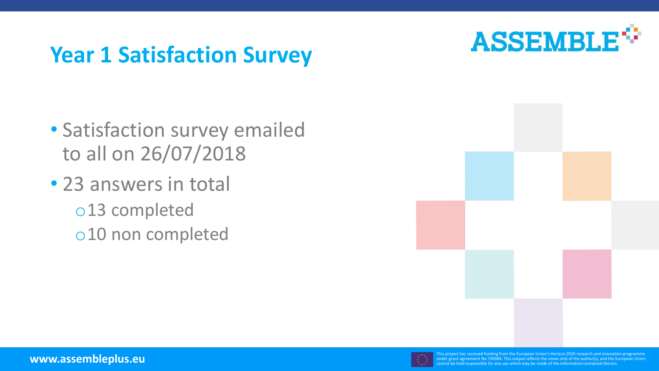

#### **Year 1 Satisfaction Survey**

- Satisfaction survey emailed to all on 26/07/2018
- 23 answers in total o13 completed o10 non completed





**www.asse**mbleplus.eu the Supplem the European Union's Horizon 2020 research and innovation programme<br>This project has received funding from the European Union's Horizon 2020 research and innovation programme<br>This project under grant agreement No 730984. This output reflects the views only of the author(s), and the European Union annot be held responsible for any use which may be made of the information contained therein.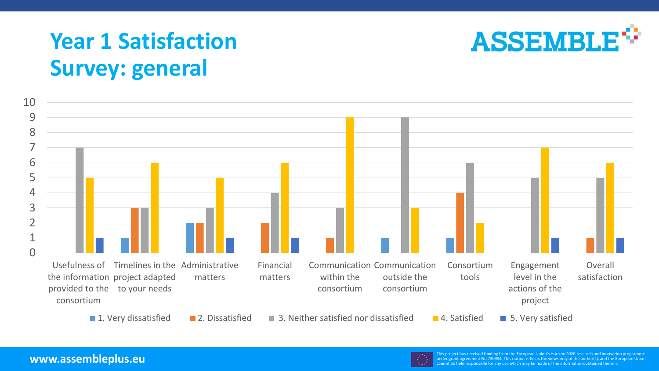#### **Year 1 Satisfaction Survey: general**



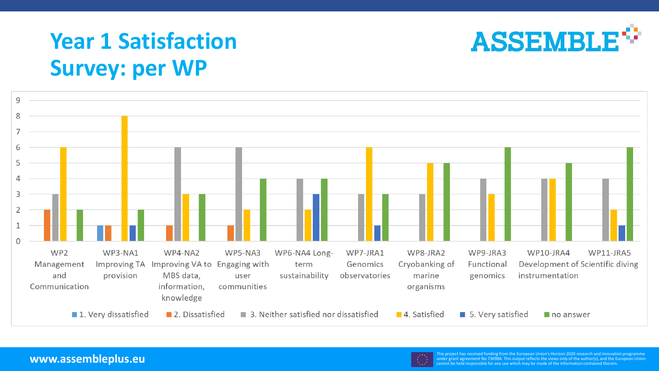

#### **Year 1 Satisfaction Survey: per WP**



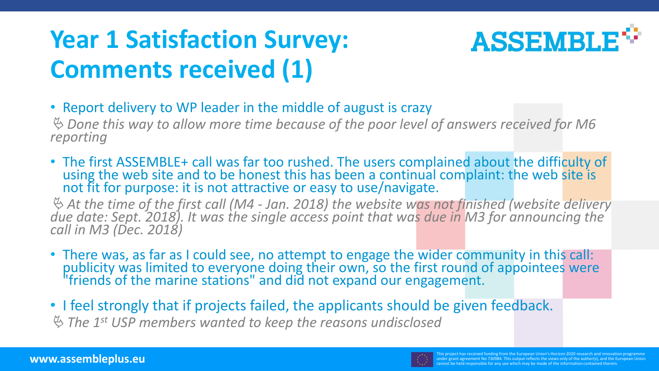### **Year 1 Satisfaction Survey: Comments received (1)**



• Report delivery to WP leader in the middle of august is crazy

 *Done this way to allow more time because of the poor level of answers received for M6 reporting*

• The first ASSEMBLE+ call was far too rushed. The users complained about the difficulty of using the web site and to be honest this has been a continual complaint: the web site is not fit for purpose: it is not attractive or easy to use/navigate.

 *At the time of the first call (M4 - Jan. 2018) the website was not finished (website delivery due date: Sept. 2018). It was the single access point that was due in M3 for announcing the call in M3 (Dec. 2018)* 

- There was, as far as I could see, no attempt to engage the wider community in this call: publicity was limited to everyone doing their own, so the first round of appointees were "friends of the marine stations" and did not expand our engagement.
- I feel strongly that if projects failed, the applicants should be given feedback.

*The 1st USP members wanted to keep the reasons undisclosed* 

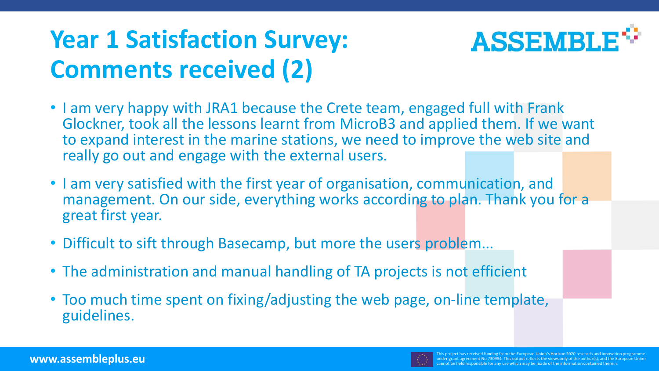### **Year 1 Satisfaction Survey: Comments received (2)**



- I am very happy with JRA1 because the Crete team, engaged full with Frank Glockner, took all the lessons learnt from MicroB3 and applied them. If we want to expand interest in the marine stations, we need to improve the web site and really go out and engage with the external users.
- I am very satisfied with the first year of organisation, communication, and management. On our side, everything works according to plan. Thank you for a great first year.
- Difficult to sift through Basecamp, but more the users problem...
- The administration and manual handling of TA projects is not efficient
- Too much time spent on fixing/adjusting the web page, on-line template, guidelines.

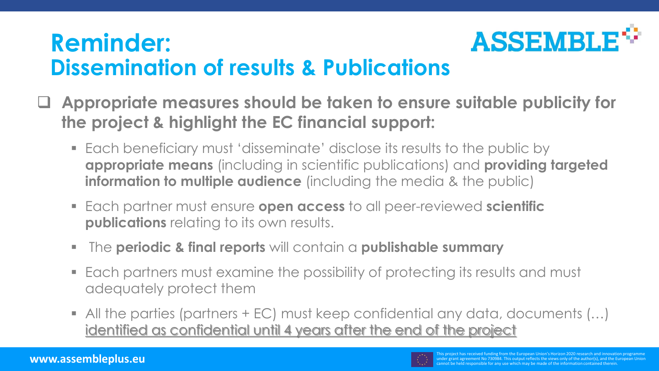#### **Reminder: Dissemination of results & Publications**



- Each beneficiary must 'disseminate' disclose its results to the public by **appropriate means** (including in scientific publications) and **providing targeted information to multiple audience** (including the media & the public)
- Each partner must ensure **open access** to all peer-reviewed **scientific publications** relating to its own results.
- **The periodic & final reports** will contain a **publishable summary**
- Each partners must examine the possibility of protecting its results and must adequately protect them
- All the parties (partners + EC) must keep confidential any data, documents (…) identified as confidential until 4 years after the end of the project



**ASSEMBLE**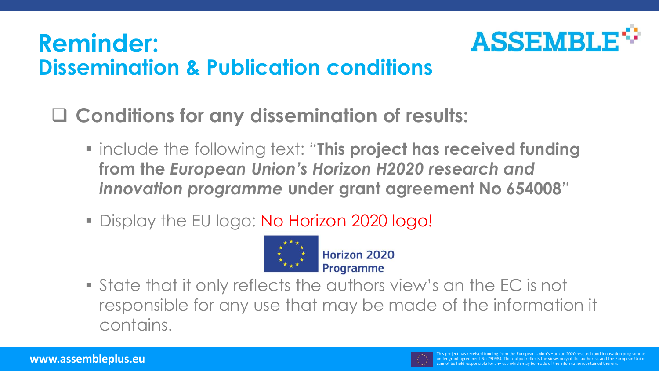#### **Reminder: Dissemination & Publication conditions**



#### ❑ **Conditions for any dissemination of results:**

- **Example 10 Fellowing text: "This project has received funding from the** *European Union's Horizon H2020 research and innovation programme* **under grant agreement No 654008***"*
- **Display the EU logo: No Horizon 2020 logo!**



▪ State that it only reflects the authors view's an the EC is not responsible for any use that may be made of the information it contains.

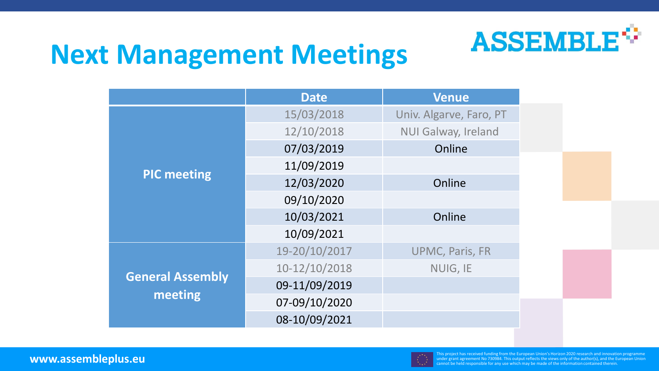

### **Next Management Meetings**

|                         | <b>Date</b>   | <b>Venue</b>               |
|-------------------------|---------------|----------------------------|
|                         | 15/03/2018    | Univ. Algarve, Faro, PT    |
| <b>PIC meeting</b>      | 12/10/2018    | <b>NUI Galway, Ireland</b> |
|                         | 07/03/2019    | Online                     |
|                         | 11/09/2019    |                            |
|                         | 12/03/2020    | Online                     |
|                         | 09/10/2020    |                            |
|                         | 10/03/2021    | Online                     |
|                         | 10/09/2021    |                            |
|                         | 19-20/10/2017 | <b>UPMC, Paris, FR</b>     |
| <b>General Assembly</b> | 10-12/10/2018 | NUIG, IE                   |
|                         | 09-11/09/2019 |                            |
| meeting                 | 07-09/10/2020 |                            |
|                         | 08-10/09/2021 |                            |



 $\mathbf{W}\mathbf{W}$ .and  $\mathbf{S}$  be the information contained the information contained the einform the  $\mathbf{S}$ cannot be held responsible for any use which may be made of the information contained therein.